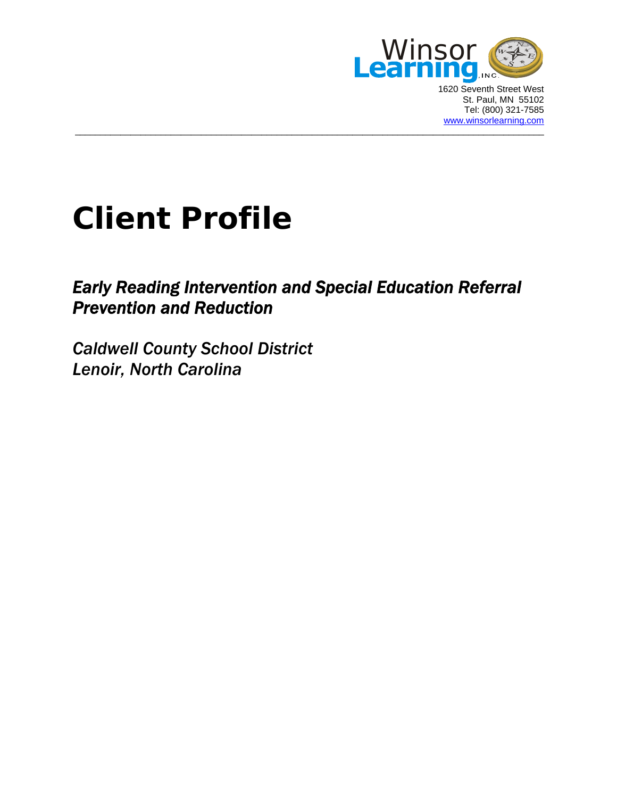

1620 Seventh Street West St. Paul, MN 55102 Tel: (800) 321-7585 [www.winsorlearning.com](http://www.winsorlearning.com/)

# **Client Profile**

# *Early Reading Intervention and Special Education Referral Prevention and Reduction*

 $\_$  ,  $\_$  ,  $\_$  ,  $\_$  ,  $\_$  ,  $\_$  ,  $\_$  ,  $\_$  ,  $\_$  ,  $\_$  ,  $\_$  ,  $\_$  ,  $\_$  ,  $\_$  ,  $\_$  ,  $\_$  ,  $\_$  ,  $\_$  ,  $\_$  ,  $\_$  ,  $\_$  ,  $\_$  ,  $\_$  ,  $\_$  ,  $\_$  ,  $\_$  ,  $\_$  ,  $\_$  ,  $\_$  ,  $\_$  ,  $\_$  ,  $\_$  ,  $\_$  ,  $\_$  ,  $\_$  ,  $\_$  ,  $\_$  ,

*Caldwell County School District Lenoir, North Carolina*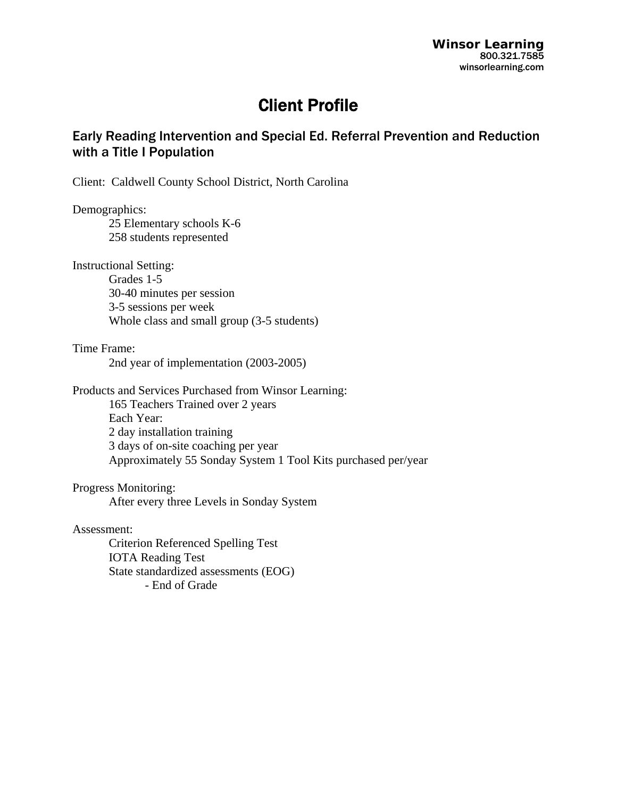# Client Profile

## Early Reading Intervention and Special Ed. Referral Prevention and Reduction with a Title I Population

Client: Caldwell County School District, North Carolina

Demographics: 25 Elementary schools K-6 258 students represented Instructional Setting: Grades 1-5 30-40 minutes per session 3-5 sessions per week Whole class and small group (3-5 students) Time Frame: 2nd year of implementation (2003-2005) Products and Services Purchased from Winsor Learning: 165 Teachers Trained over 2 years Each Year: 2 day installation training 3 days of on-site coaching per year Approximately 55 Sonday System 1 Tool Kits purchased per/year Progress Monitoring: After every three Levels in Sonday System Assessment:

 Criterion Referenced Spelling Test IOTA Reading Test State standardized assessments (EOG) - End of Grade